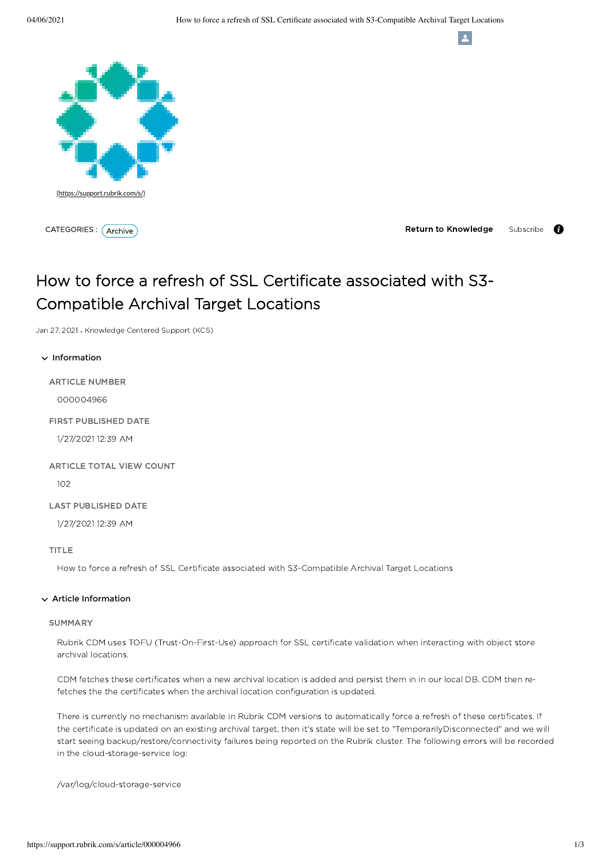

CATEGORIES : *(Archive* 

**Return to Knowledge** Subscribe -6

 $\mathbf{A}$ 

# How to force a refresh of SSL Certificate associated with S3- Compatible Archival Target Locations

Jan 27, 2021 • Knowledge Centered Support (KCS)

# $\vee$  Information

ARTICLE NUMBER

000004966

FIRST PUBLISHED DATE

1/27/2021 12:39 AM

### ARTICLE TOTAL VIEW COUNT

102

# LAST PUBLISHED DATE

1/27/2021 12:39 AM

# TITLE

How to force a refresh of SSL Certificate associated with S3-Compatible Archival Target Locations

### $\vee$  Article Information

### **SUMMARY**

Rubrik CDM uses TOFU (Trust-On-First-Use) approach for SSL certificate validation when interacting with object store archival locations.

CDM fetches these certificates when a new archival location is added and persist them in in our local DB. CDM then refetches the the certificates when the archival location configuration is updated.

There is currently no mechanism available in Rubrik CDM versions to automatically force a refresh of these certificates. If the certificate is updated on an existing archival target, then it's state will be set to "TemporarilyDisconnected" and we will start seeing backup/restore/connectivity failures being reported on the Rubrik cluster. The following errors will be recorded in the cloud-storage-service log:

/var/log/cloud-storage-service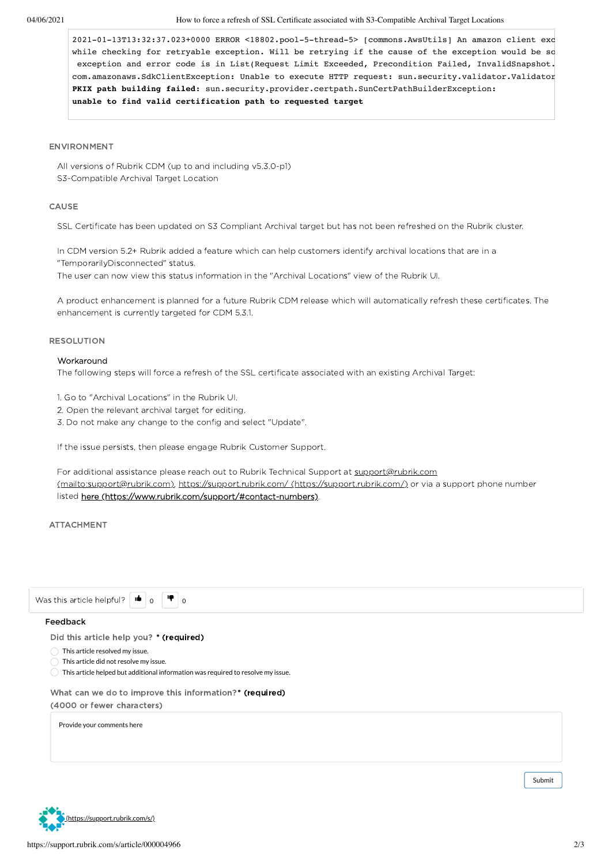2021-01-13T13:32:37.023+0000 ERROR <18802.pool-5-thread-5> [commons.AwsUtils] An amazon client exc while checking for retryable exception. Will be retrying if the cause of the exception would be so exception and error code is in List(Request Limit Exceeded, Precondition Failed, InvalidSnapshot. com.amazonaws.SdkClientException: Unable to execute HTTP request: sun.security.validator.Validator PKIX path building failed: sun.security.provider.certpath.SunCertPathBuilderException: **unable to find valid certification path to requested target**

#### ENVIRONMENT

All versions of Rubrik CDM (up to and including v5.3.0-p1) S3-Compatible Archival Target Location

### CAUSE

SSL Certificate has been updated on S3 Compliant Archival target but has not been refreshed on the Rubrik cluster.

In CDM version 5.2+ Rubrik added a feature which can help customers identify archival locations that are in a "TemporarilyDisconnected" status.

The user can now view this status information in the "Archival Locations" view of the Rubrik UI.

A product enhancement is planned for a future Rubrik CDM release which will automatically refresh these certificates. The enhancement is currently targeted for CDM 5.3.1.

### RESOLUTION

# Workaround

The following steps will force a refresh of the SSL certificate associated with an existing Archival Target:

1. Go to "Archival Locations" in the Rubrik UI.

- 2. Open the relevant archival target for editing.
- 3. Do not make any change to the config and select "Update".

If the issue persists, then please engage Rubrik Customer Support.

For additional assistance please reach out to Rubrik Technical Support at support@rubrik.com [\(mailto:support@rubrik.com\),](mailto:support@rubrik.com) https://support.rubrik.com/ [\(https://support.rubrik.com/\)](https://support.rubrik.com/) or via a support phone number listed here [\(https://www.rubrik.com/support/#contact-numbers\)](https://www.rubrik.com/support/#contact-numbers).

ATTACHMENT

| Did this article help you? * (required)                 |                                                                                  |  |  |
|---------------------------------------------------------|----------------------------------------------------------------------------------|--|--|
| This article resolved my issue.                         |                                                                                  |  |  |
| This article did not resolve my issue.                  |                                                                                  |  |  |
|                                                         | This article helped but additional information was required to resolve my issue. |  |  |
| What can we do to improve this information?* (required) |                                                                                  |  |  |
| (4000 or fewer characters)                              |                                                                                  |  |  |
| Provide your comments here                              |                                                                                  |  |  |
|                                                         |                                                                                  |  |  |